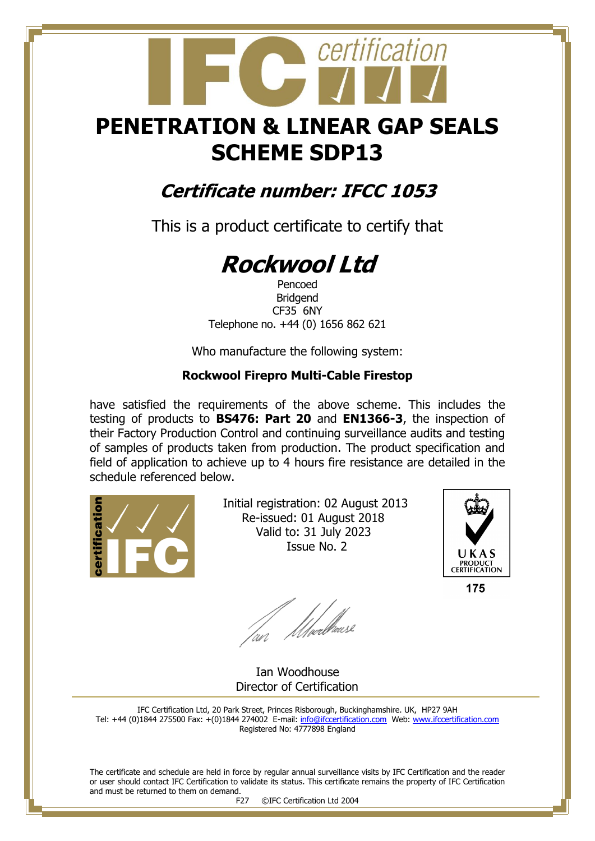## **PENETRATION & LINEAR GAP SEALS SCHEME SDP13**

certification

### **Certificate number: IFCC 1053**

This is a product certificate to certify that

# **Rockwool Ltd**

Pencoed Bridgend CF35 6NY Telephone no. +44 (0) 1656 862 621

Who manufacture the following system:

#### **Rockwool Firepro Multi-Cable Firestop**

have satisfied the requirements of the above scheme. This includes the testing of products to **BS476: Part 20** and **EN1366-3**, the inspection of their Factory Production Control and continuing surveillance audits and testing of samples of products taken from production. The product specification and field of application to achieve up to 4 hours fire resistance are detailed in the schedule referenced below.



 Initial registration: 02 August 2013 Re-issued: 01 August 2018 Valid to: 31 July 2023 Issue No. 2



175

fan Moedhouse

 Ian Woodhouse Director of Certification

IFC Certification Ltd, 20 Park Street, Princes Risborough, Buckinghamshire. UK, HP27 9AH Tel: +44 (0)1844 275500 Fax: +(0)1844 274002 E-mail[: info@ifccertification.com](mailto:info@ifccertification.com) Web: [www.ifccertification.com](http://www.ifccertification.com/) Registered No: 4777898 England

The certificate and schedule are held in force by regular annual surveillance visits by IFC Certification and the reader or user should contact IFC Certification to validate its status. This certificate remains the property of IFC Certification and must be returned to them on demand.